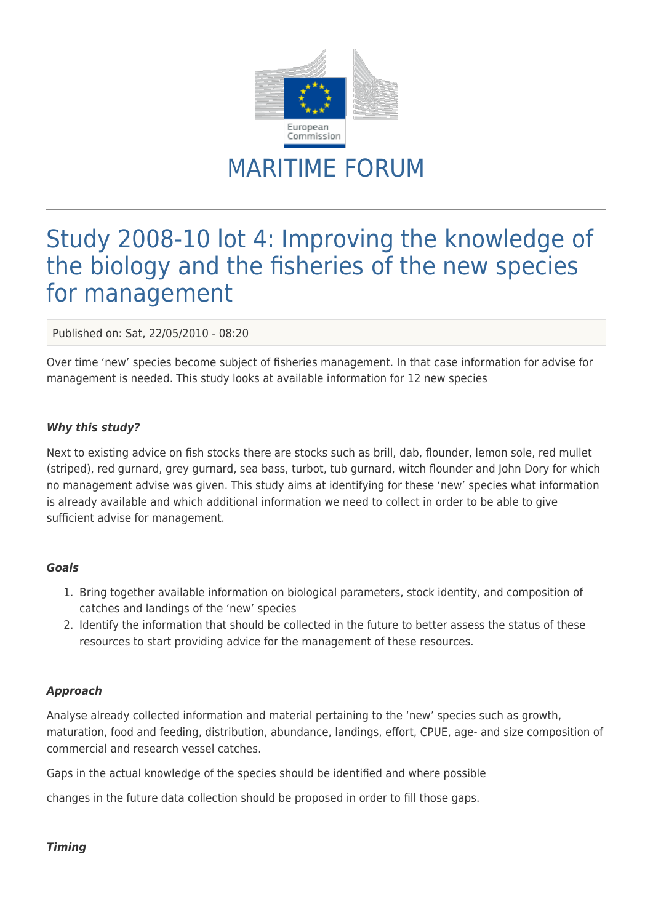

# MARITIME FORUM

# Study 2008-10 lot 4: Improving the knowledge of the biology and the fisheries of the new species for management

Published on: Sat, 22/05/2010 - 08:20

Over time 'new' species become subject of fisheries management. In that case information for advise for management is needed. This study looks at available information for 12 new species

## *Why this study?*

Next to existing advice on fish stocks there are stocks such as brill, dab, flounder, lemon sole, red mullet (striped), red gurnard, grey gurnard, sea bass, turbot, tub gurnard, witch flounder and John Dory for which no management advise was given. This study aims at identifying for these 'new' species what information is already available and which additional information we need to collect in order to be able to give sufficient advise for management.

#### *Goals*

- 1. Bring together available information on biological parameters, stock identity, and composition of catches and landings of the 'new' species
- 2. Identify the information that should be collected in the future to better assess the status of these resources to start providing advice for the management of these resources.

## *Approach*

Analyse already collected information and material pertaining to the 'new' species such as growth, maturation, food and feeding, distribution, abundance, landings, effort, CPUE, age- and size composition of commercial and research vessel catches.

Gaps in the actual knowledge of the species should be identified and where possible

changes in the future data collection should be proposed in order to fill those gaps.

## *Timing*